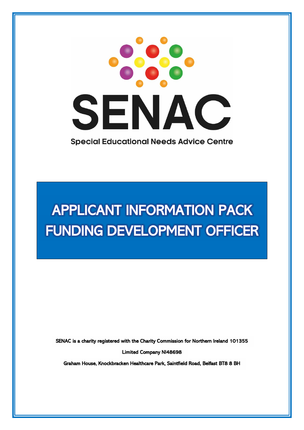

# APPLICANT INFORMATION PACK FUNDING DEVELOPMENT OFFICER

SENAC is a charity registered with the Charity Commission for Northern Ireland 101355

Limited Company NI48698

Graham House, Knockbracken Healthcare Park, Saintfield Road, Belfast BT8 8 BH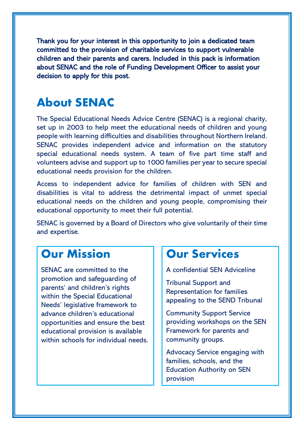Thank you for your interest in this opportunity to join a dedicated team committed to the provision of charitable services to support vulnerable children and their parents and carers. Included in this pack is information about SENAC and the role of Funding Development Officer to assist your decision to apply for this post.

#### **About SENAC**

The Special Educational Needs Advice Centre (SENAC) is a regional charity, set up in 2003 to help meet the educational needs of children and young people with learning difficulties and disabilities throughout Northern Ireland. SENAC provides independent advice and information on the statutory special educational needs system. A team of five part time staff and volunteers advise and support up to 1000 families per year to secure special educational needs provision for the children.

Access to independent advice for families of children with SEN and disabilities is vital to address the detrimental impact of unmet special educational needs on the children and young people, compromising their educational opportunity to meet their full potential.

SENAC is governed by a Board of Directors who give voluntarily of their time and expertise.

#### **Our Mission**

SENAC are committed to the promotion and safeguarding of parents' and children's rights within the Special Educational Needs' legislative framework to advance children's educational opportunities and ensure the best educational provision is available within schools for individual needs.

#### Our Services

A confidential SEN Adviceline

Tribunal Support and Representation for families appealing to the SEND Tribunal

Community Support Service providing workshops on the SEN Framework for parents and community groups.

Advocacy Service engaging with families, schools, and the Education Authority on SEN provision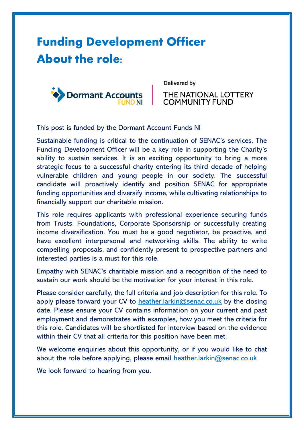## **Funding Development Officer About the role:**



Delivered by

THE NATIONAL LOTTERY **COMMUNITY FUND** 

This post is funded by the Dormant Account Funds NI

Sustainable funding is critical to the continuation of SENAC's services. The Funding Development Officer will be a key role in supporting the Charity's ability to sustain services. It is an exciting opportunity to bring a more strategic focus to a successful charity entering its third decade of helping vulnerable children and young people in our society. The successful candidate will proactively identify and position SENAC for appropriate funding opportunities and diversify income, while cultivating relationships to financially support our charitable mission.

This role requires applicants with professional experience securing funds from Trusts, Foundations, Corporate Sponsorship or successfully creating income diversification. You must be a good negotiator, be proactive, and have excellent interpersonal and networking skills. The ability to write compelling proposals, and confidently present to prospective partners and interested parties is a must for this role.

Empathy with SENAC's charitable mission and a recognition of the need to sustain our work should be the motivation for your interest in this role.

Please consider carefully, the full criteria and job description for this role. To apply please forward your CV to [heather.larkin@senac.co.uk](mailto:heather.larkin@senac.co.uk) by the closing date. Please ensure your CV contains information on your current and past employment and demonstrates with examples, how you meet the criteria for this role. Candidates will be shortlisted for interview based on the evidence within their CV that all criteria for this position have been met.

We welcome enquiries about this opportunity, or if you would like to chat about the role before applying, please email [heather.larkin@senac.co.uk](mailto:heather.larkin@senac.co.uk)

We look forward to hearing from you.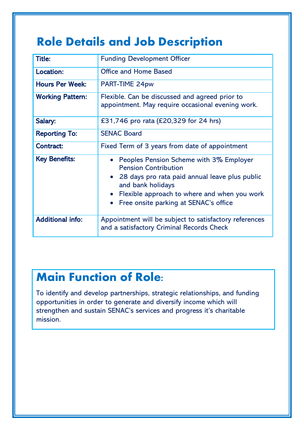### **Role Details and Job Description**

| <b>Title:</b>           | <b>Funding Development Officer</b>                                                                                                                                                                                                                        |  |
|-------------------------|-----------------------------------------------------------------------------------------------------------------------------------------------------------------------------------------------------------------------------------------------------------|--|
| Location:               | <b>Office and Home Based</b>                                                                                                                                                                                                                              |  |
| <b>Hours Per Week:</b>  | PART-TIME 24pw                                                                                                                                                                                                                                            |  |
| <b>Working Pattern:</b> | Flexible. Can be discussed and agreed prior to<br>appointment. May require occasional evening work.                                                                                                                                                       |  |
| Salary:                 | £31,746 pro rata (£20,329 for 24 hrs)                                                                                                                                                                                                                     |  |
| <b>Reporting To:</b>    | <b>SENAC Board</b>                                                                                                                                                                                                                                        |  |
| <b>Contract:</b>        | Fixed Term of 3 years from date of appointment                                                                                                                                                                                                            |  |
| <b>Key Benefits:</b>    | • Peoples Pension Scheme with 3% Employer<br><b>Pension Contribution</b><br>• 28 days pro rata paid annual leave plus public<br>and bank holidays<br>• Flexible approach to where and when you work<br>Free onsite parking at SENAC's office<br>$\bullet$ |  |
| <b>Additional info:</b> | Appointment will be subject to satisfactory references<br>and a satisfactory Criminal Records Check                                                                                                                                                       |  |

### Main Function of Role:

To identify and develop partnerships, strategic relationships, and funding opportunities in order to generate and diversify income which will strengthen and sustain SENAC's services and progress it's charitable mission.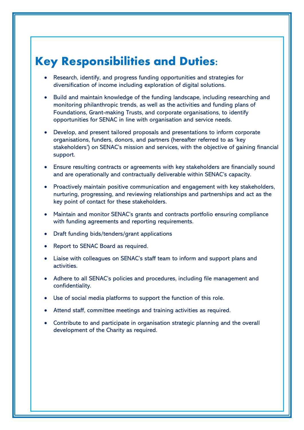#### Key Responsibilities and Duties:

- Research, identify, and progress funding opportunities and strategies for diversification of income including exploration of digital solutions.
- Build and maintain knowledge of the funding landscape, including researching and monitoring philanthropic trends, as well as the activities and funding plans of Foundations, Grant-making Trusts, and corporate organisations, to identify opportunities for SENAC in line with organisation and service needs.
- Develop, and present tailored proposals and presentations to inform corporate organisations, funders, donors, and partners (hereafter referred to as 'key stakeholders') on SENAC's mission and services, with the objective of gaining financial support.
- Ensure resulting contracts or agreements with key stakeholders are financially sound and are operationally and contractually deliverable within SENAC's capacity.
- Proactively maintain positive communication and engagement with key stakeholders, nurturing, progressing, and reviewing relationships and partnerships and act as the key point of contact for these stakeholders.
- Maintain and monitor SENAC's grants and contracts portfolio ensuring compliance with funding agreements and reporting requirements.
- Draft funding bids/tenders/grant applications
- Report to SENAC Board as required.
- Liaise with colleagues on SENAC's staff team to inform and support plans and activities.
- Adhere to all SENAC's policies and procedures, including file management and confidentiality.
- Use of social media platforms to support the function of this role.
- Attend staff, committee meetings and training activities as required.
- Contribute to and participate in organisation strategic planning and the overall development of the Charity as required.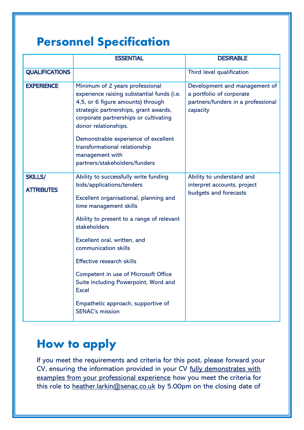### **Personnel Specification**

|                                     | <b>ESSENTIAL</b>                                                                                                                                                                                                                                                                                                                                                                                                                                                | <b>DESIRABLE</b>                                                                                            |
|-------------------------------------|-----------------------------------------------------------------------------------------------------------------------------------------------------------------------------------------------------------------------------------------------------------------------------------------------------------------------------------------------------------------------------------------------------------------------------------------------------------------|-------------------------------------------------------------------------------------------------------------|
| <b>QUALIFICATIONS</b>               |                                                                                                                                                                                                                                                                                                                                                                                                                                                                 | Third level qualification                                                                                   |
| <b>EXPERIENCE</b>                   | Minimum of 2 years professional<br>experience raising substantial funds (i.e.<br>4,5, or 6 figure amounts) through<br>strategic partnerships, grant awards,<br>corporate partnerships or cultivating<br>donor relationships.<br>Demonstrable experience of excellent<br>transformational relationship<br>management with<br>partners/stakeholders/funders                                                                                                       | Development and management of<br>a portfolio of corporate<br>partners/funders in a professional<br>capacity |
| <b>SKILLS/</b><br><b>ATTRIBUTES</b> | Ability to successfully write funding<br>bids/applications/tenders<br>Excellent organisational, planning and<br>time management skills<br>Ability to present to a range of relevant<br>stakeholders<br>Excellent oral, written, and<br>communication skills<br><b>Effective research skills</b><br>Competent in use of Microsoft Office<br>Suite including Powerpoint, Word and<br><b>Excel</b><br>Empathetic approach, supportive of<br><b>SENAC's mission</b> | Ability to understand and<br>interpret accounts, project<br>budgets and forecasts                           |

### **How to apply**

If you meet the requirements and criteria for this post, please forward your CV, ensuring the information provided in your CV fully demonstrates with examples from your professional experience how you meet the criteria for this role to [heather.larkin@senac.co.uk](mailto:heather.larkin@senac.co.uk) by 5.00pm on the closing date of